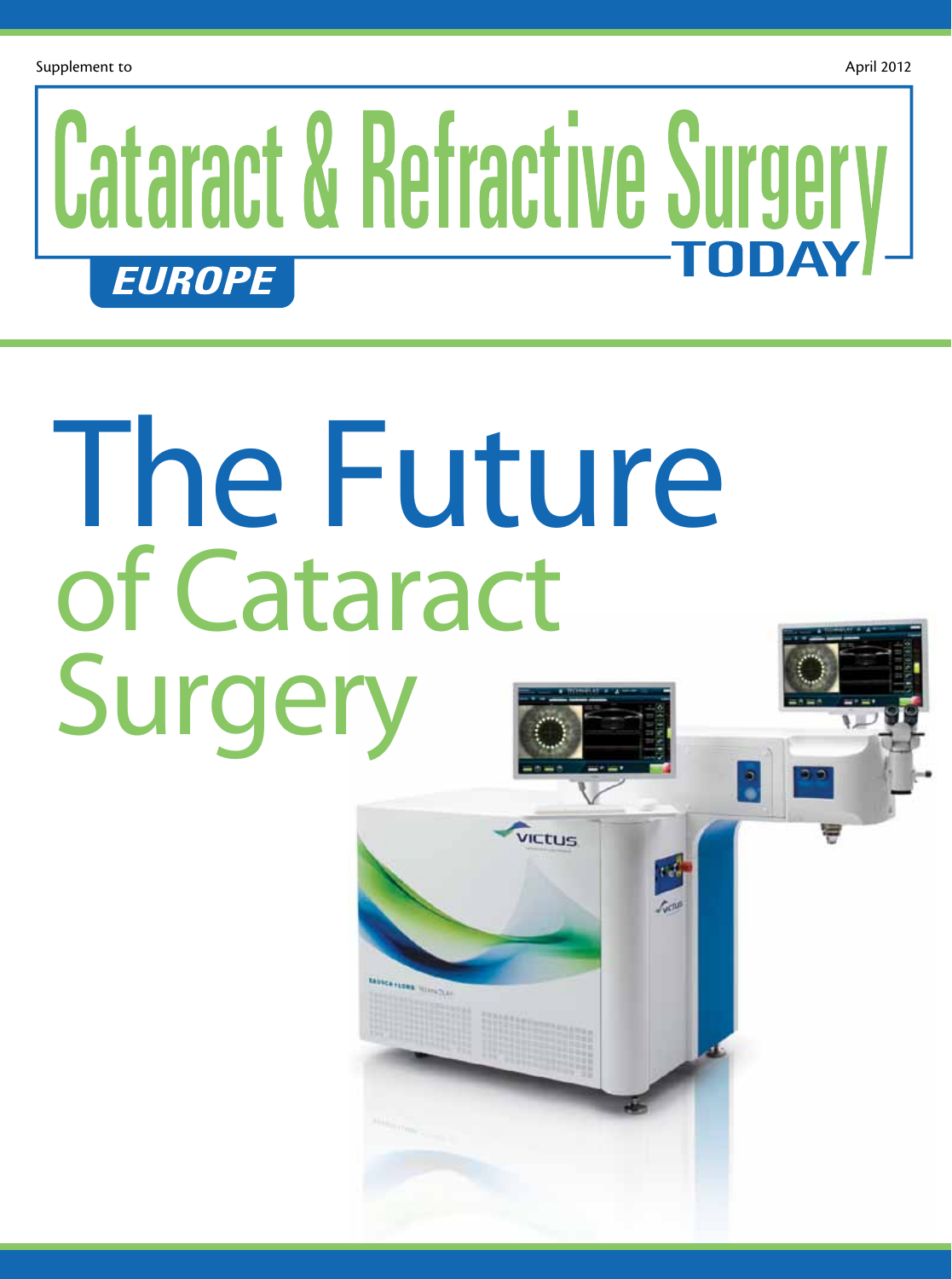## **Cataract & Refractive Surgery EUROPE**

**VICtus** 

Cent

# The Future of Cataract Surgery

Makangan minche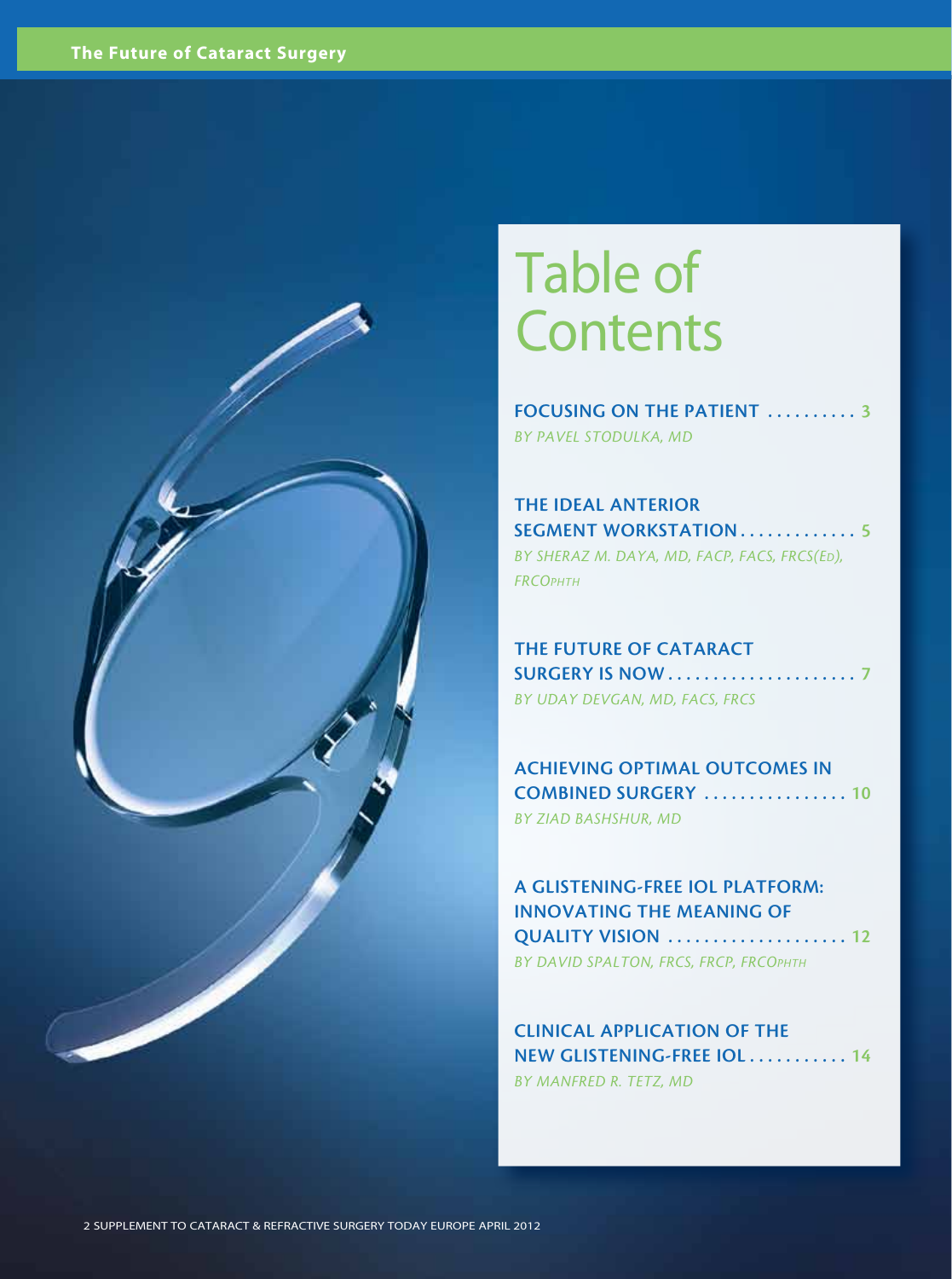

### Table of **Contents**

FOCUSING ON THE PATIENT .......... 3 *By Pavel Stodulka, MD*

The Ideal Anterior SEGMENT WORKSTATION . . . . . . . . . . . . 5 *By Sheraz M. Daya, MD, FACP, FACS, FRCS(Ed), FRCOphth*

THE FUTURE OF CATARACT Surgery is Now . . . . . . . . . . . . . . . . . . . . . 7 *By Uday Devgan, MD, FACS, FRCS*

Achieving Optimal Outcomes in Combined Surgery . . . . . . . . . . . . . . . . 10 *By Ziad Bashshur, MD*

A Glistening-Free IOL Platform: Innovating the Meaning of Quality Vision . . . . . . . . . . . . . . . . . . . . 12 *By David Spalton, FRCS, FRCP, FRCOphth*

Clinical Application of the New Glistening-Free IOL . . . . . . . . . . . 14 *By Manfred R. Tetz, MD*

2 Supplement to Cataract & Refractive Surgery Today Europe April 2012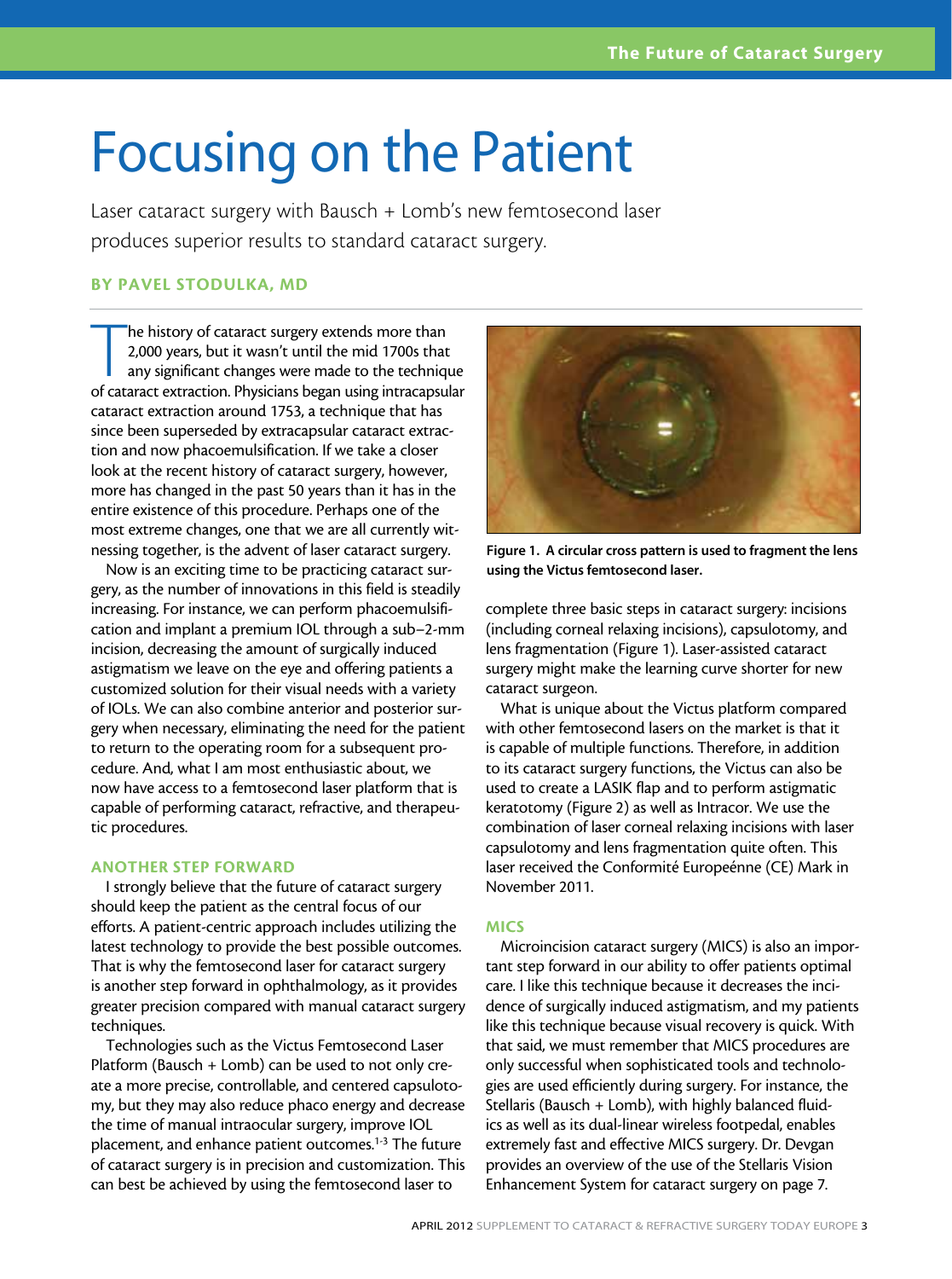### Focusing on the Patient

Laser cataract surgery with Bausch + Lomb's new femtosecond laser produces superior results to standard cataract surgery.

#### By Pavel Stodulka, MD

The history of cataract surgery extends more than<br>2,000 years, but it wasn't until the mid 1700s that<br>any significant changes were made to the technique<br>of cataract extraction. Physicians began using intracapsular he history of cataract surgery extends more than 2,000 years, but it wasn't until the mid 1700s that any significant changes were made to the technique cataract extraction around 1753, a technique that has since been superseded by extracapsular cataract extraction and now phacoemulsification. If we take a closer look at the recent history of cataract surgery, however, more has changed in the past 50 years than it has in the entire existence of this procedure. Perhaps one of the most extreme changes, one that we are all currently witnessing together, is the advent of laser cataract surgery.

Now is an exciting time to be practicing cataract surgery, as the number of innovations in this field is steadily increasing. For instance, we can perform phacoemulsification and implant a premium IOL through a sub–2-mm incision, decreasing the amount of surgically induced astigmatism we leave on the eye and offering patients a customized solution for their visual needs with a variety of IOLs. We can also combine anterior and posterior surgery when necessary, eliminating the need for the patient to return to the operating room for a subsequent procedure. And, what I am most enthusiastic about, we now have access to a femtosecond laser platform that is capable of performing cataract, refractive, and therapeutic procedures.

#### ANOTHER STEP FORWARD

I strongly believe that the future of cataract surgery should keep the patient as the central focus of our efforts. A patient-centric approach includes utilizing the latest technology to provide the best possible outcomes. That is why the femtosecond laser for cataract surgery is another step forward in ophthalmology, as it provides greater precision compared with manual cataract surgery techniques.

Technologies such as the Victus Femtosecond Laser Platform (Bausch + Lomb) can be used to not only create a more precise, controllable, and centered capsulotomy, but they may also reduce phaco energy and decrease the time of manual intraocular surgery, improve IOL placement, and enhance patient outcomes.<sup>1-3</sup> The future of cataract surgery is in precision and customization. This can best be achieved by using the femtosecond laser to



Figure 1. A circular cross pattern is used to fragment the lens using the Victus femtosecond laser.

complete three basic steps in cataract surgery: incisions (including corneal relaxing incisions), capsulotomy, and lens fragmentation (Figure 1). Laser-assisted cataract surgery might make the learning curve shorter for new cataract surgeon.

What is unique about the Victus platform compared with other femtosecond lasers on the market is that it is capable of multiple functions. Therefore, in addition to its cataract surgery functions, the Victus can also be used to create a LASIK flap and to perform astigmatic keratotomy (Figure 2) as well as Intracor. We use the combination of laser corneal relaxing incisions with laser capsulotomy and lens fragmentation quite often. This laser received the Conformité Europeénne (CE) Mark in November 2011.

#### **MICS**

Microincision cataract surgery (MICS) is also an important step forward in our ability to offer patients optimal care. I like this technique because it decreases the incidence of surgically induced astigmatism, and my patients like this technique because visual recovery is quick. With that said, we must remember that MICS procedures are only successful when sophisticated tools and technologies are used efficiently during surgery. For instance, the Stellaris (Bausch + Lomb), with highly balanced fluidics as well as its dual-linear wireless footpedal, enables extremely fast and effective MICS surgery. Dr. Devgan provides an overview of the use of the Stellaris Vision Enhancement System for cataract surgery on page 7.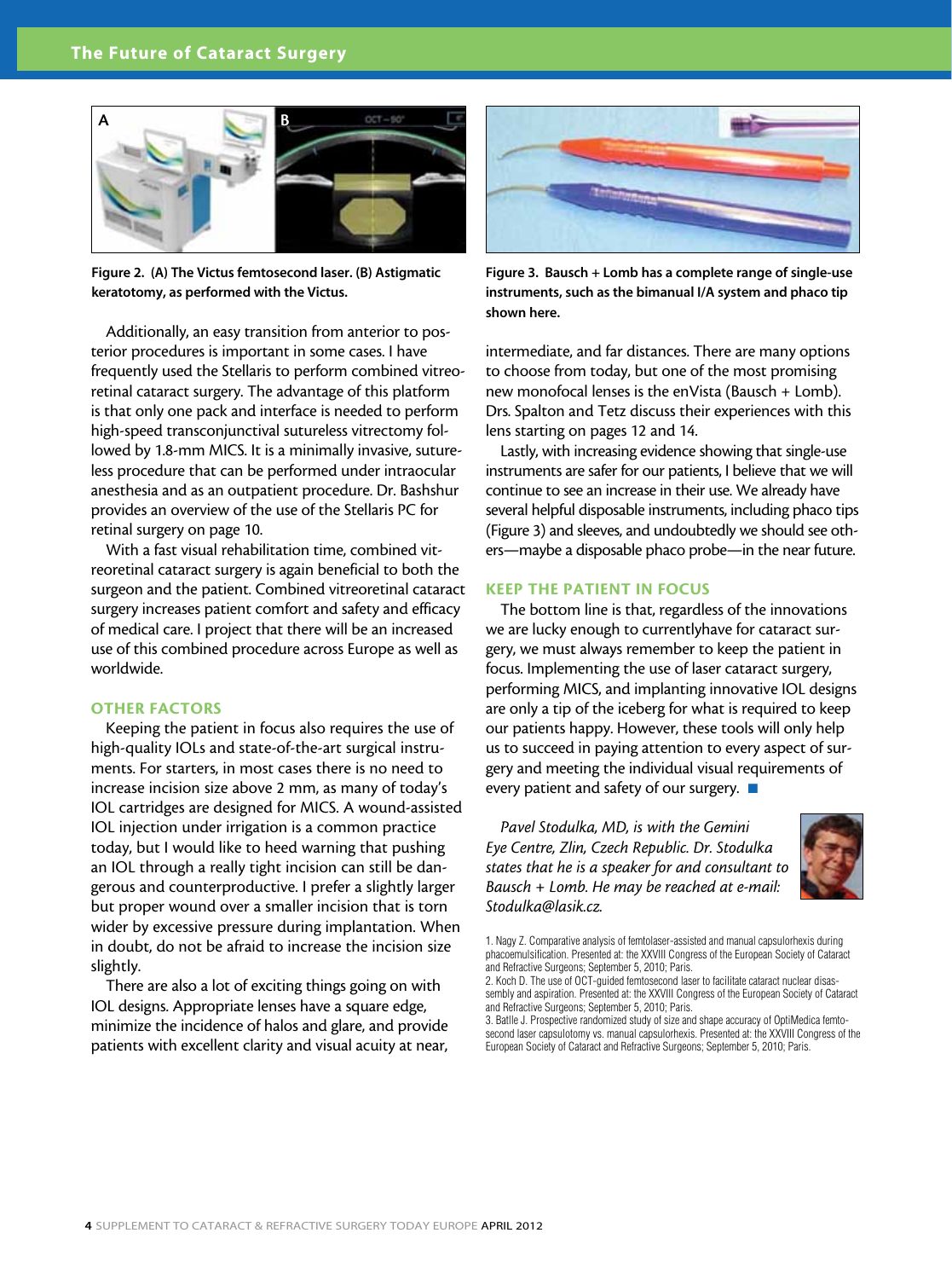

Figure 2. (A) The Victus femtosecond laser. (B) Astigmatic keratotomy, as performed with the Victus.

Additionally, an easy transition from anterior to posterior procedures is important in some cases. I have frequently used the Stellaris to perform combined vitreoretinal cataract surgery. The advantage of this platform is that only one pack and interface is needed to perform high-speed transconjunctival sutureless vitrectomy followed by 1.8-mm MICS. It is a minimally invasive, sutureless procedure that can be performed under intraocular anesthesia and as an outpatient procedure. Dr. Bashshur provides an overview of the use of the Stellaris PC for retinal surgery on page 10.

With a fast visual rehabilitation time, combined vitreoretinal cataract surgery is again beneficial to both the surgeon and the patient. Combined vitreoretinal cataract surgery increases patient comfort and safety and efficacy of medical care. I project that there will be an increased use of this combined procedure across Europe as well as worldwide.

#### OTHER FACTORS

Keeping the patient in focus also requires the use of high-quality IOLs and state-of-the-art surgical instruments. For starters, in most cases there is no need to increase incision size above 2 mm, as many of today's IOL cartridges are designed for MICS. A wound-assisted IOL injection under irrigation is a common practice today, but I would like to heed warning that pushing an IOL through a really tight incision can still be dangerous and counterproductive. I prefer a slightly larger but proper wound over a smaller incision that is torn wider by excessive pressure during implantation. When in doubt, do not be afraid to increase the incision size slightly.

There are also a lot of exciting things going on with IOL designs. Appropriate lenses have a square edge, minimize the incidence of halos and glare, and provide patients with excellent clarity and visual acuity at near,



Figure 3. Bausch + Lomb has a complete range of single-use instruments, such as the bimanual I/A system and phaco tip shown here.

intermediate, and far distances. There are many options to choose from today, but one of the most promising new monofocal lenses is the enVista (Bausch + Lomb). Drs. Spalton and Tetz discuss their experiences with this lens starting on pages 12 and 14.

Lastly, with increasing evidence showing that single-use instruments are safer for our patients, I believe that we will continue to see an increase in their use. We already have several helpful disposable instruments, including phaco tips (Figure 3) and sleeves, and undoubtedly we should see others—maybe a disposable phaco probe—in the near future.

#### KEEP THE PATIENT IN FOCUS

The bottom line is that, regardless of the innovations we are lucky enough to currentlyhave for cataract surgery, we must always remember to keep the patient in focus. Implementing the use of laser cataract surgery, performing MICS, and implanting innovative IOL designs are only a tip of the iceberg for what is required to keep our patients happy. However, these tools will only help us to succeed in paying attention to every aspect of surgery and meeting the individual visual requirements of every patient and safety of our surgery.  $\blacksquare$ 

*Pavel Stodulka, MD, is with the Gemini Eye Centre, Zlin, Czech Republic. Dr. Stodulka states that he is a speaker for and consultant to Bausch + Lomb. He may be reached at e-mail: Stodulka@lasik.cz.*



<sup>1.</sup> Nagy Z. Comparative analysis of femtolaser-assisted and manual capsulorhexis during phacoemulsification. Presented at: the XXVIII Congress of the European Society of Cataract and Refractive Surgeons; September 5, 2010; Paris.

<sup>2.</sup> Koch D. The use of OCT-guided femtosecond laser to facilitate cataract nuclear disassembly and aspiration. Presented at: the XXVIII Congress of the European Society of Cataract and Refractive Surgeons; September 5, 2010; Paris.

<sup>3.</sup> Batlle J. Prospective randomized study of size and shape accuracy of OptiMedica femtosecond laser capsulotomy vs. manual capsulorhexis. Presented at: the XXVIII Congress of the European Society of Cataract and Refractive Surgeons; September 5, 2010; Paris.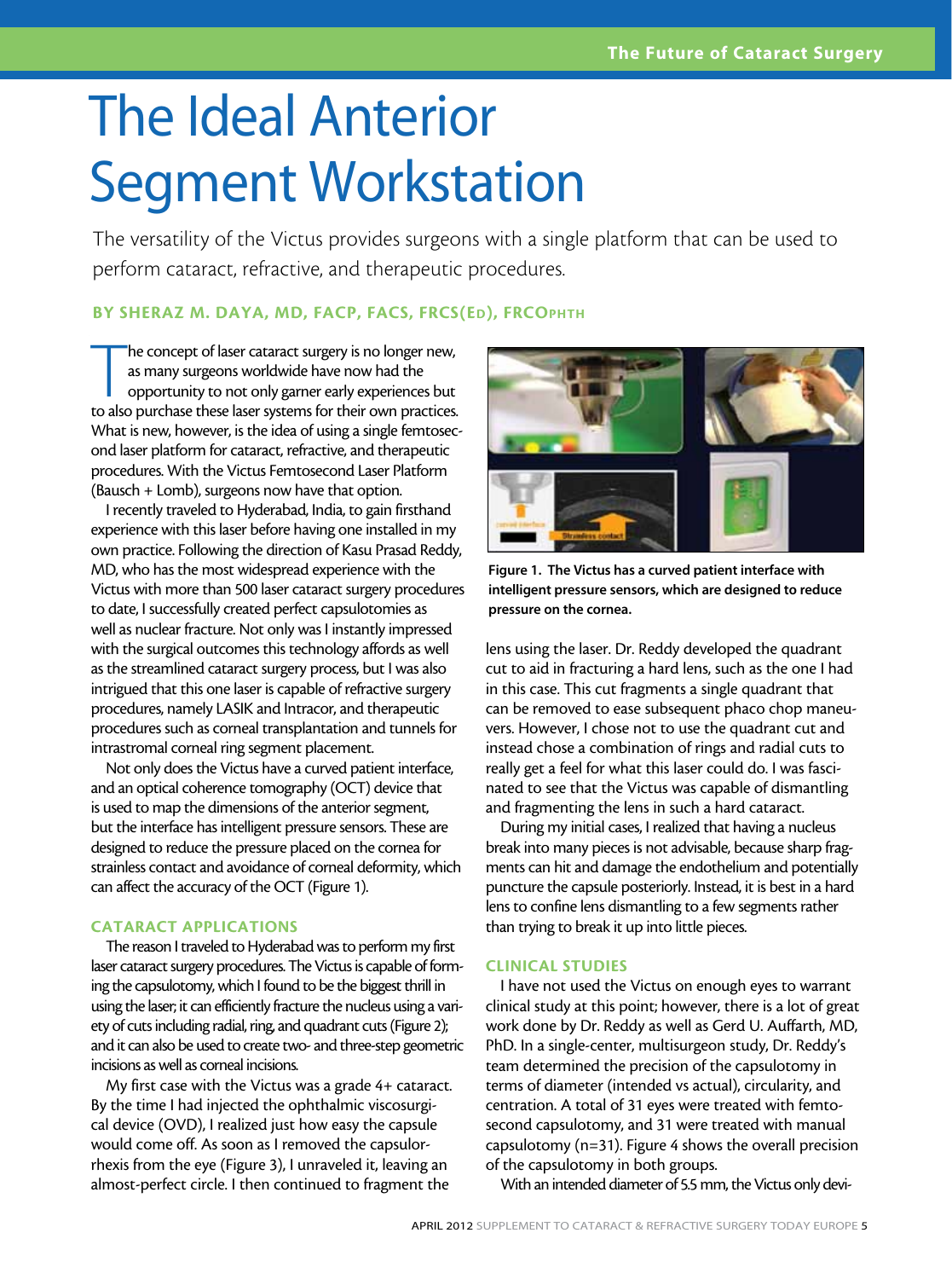### The Ideal Anterior Segment Workstation

The versatility of the Victus provides surgeons with a single platform that can be used to perform cataract, refractive, and therapeutic procedures.

#### BY SHERAZ M. DAYA, MD, FACP, FACS, FRCS(ED), FRCOPHTH

The concept of laser cataract surgery is no longer new, as many surgeons worldwide have now had the opportunity to not only garner early experiences but to also purchase these laser systems for their own practices. he concept of laser cataract surgery is no longer new, as many surgeons worldwide have now had the opportunity to not only garner early experiences but What is new, however, is the idea of using a single femtosecond laser platform for cataract, refractive, and therapeutic procedures. With the Victus Femtosecond Laser Platform (Bausch + Lomb), surgeons now have that option.

I recently traveled to Hyderabad, India, to gain firsthand experience with this laser before having one installed in my own practice. Following the direction of Kasu Prasad Reddy, MD, who has the most widespread experience with the Victus with more than 500 laser cataract surgery procedures to date, I successfully created perfect capsulotomies as well as nuclear fracture. Not only was I instantly impressed with the surgical outcomes this technology affords as well as the streamlined cataract surgery process, but I was also intrigued that this one laser is capable of refractive surgery procedures, namely LASIK and Intracor, and therapeutic procedures such as corneal transplantation and tunnels for intrastromal corneal ring segment placement.

Not only does the Victus have a curved patient interface, and an optical coherence tomography (OCT) device that is used to map the dimensions of the anterior segment, but the interface has intelligent pressure sensors. These are designed to reduce the pressure placed on the cornea for strainless contact and avoidance of corneal deformity, which can affect the accuracy of the OCT (Figure 1).

#### CATARACT APPLICATIONS

The reason I traveled to Hyderabad was to perform my first laser cataract surgery procedures. The Victus is capable of forming the capsulotomy, which I found to be the biggest thrill in using the laser; it can efficiently fracture the nucleus using a variety of cuts including radial, ring, and quadrant cuts (Figure 2); and it can also be used to create two- and three-step geometric incisions as well as corneal incisions.

My first case with the Victus was a grade 4+ cataract. By the time I had injected the ophthalmic viscosurgical device (OVD), I realized just how easy the capsule would come off. As soon as I removed the capsulorrhexis from the eye (Figure 3), I unraveled it, leaving an almost-perfect circle. I then continued to fragment the



Figure 1. The Victus has a curved patient interface with intelligent pressure sensors, which are designed to reduce pressure on the cornea.

lens using the laser. Dr. Reddy developed the quadrant cut to aid in fracturing a hard lens, such as the one I had in this case. This cut fragments a single quadrant that can be removed to ease subsequent phaco chop maneuvers. However, I chose not to use the quadrant cut and instead chose a combination of rings and radial cuts to really get a feel for what this laser could do. I was fascinated to see that the Victus was capable of dismantling and fragmenting the lens in such a hard cataract.

During my initial cases, I realized that having a nucleus break into many pieces is not advisable, because sharp fragments can hit and damage the endothelium and potentially puncture the capsule posteriorly. Instead, it is best in a hard lens to confine lens dismantling to a few segments rather than trying to break it up into little pieces.

#### CLINICAL STUDIES

I have not used the Victus on enough eyes to warrant clinical study at this point; however, there is a lot of great work done by Dr. Reddy as well as Gerd U. Auffarth, MD, PhD. In a single-center, multisurgeon study, Dr. Reddy's team determined the precision of the capsulotomy in terms of diameter (intended vs actual), circularity, and centration. A total of 31 eyes were treated with femtosecond capsulotomy, and 31 were treated with manual capsulotomy (n=31). Figure 4 shows the overall precision of the capsulotomy in both groups.

With an intended diameter of 5.5 mm, the Victus only devi-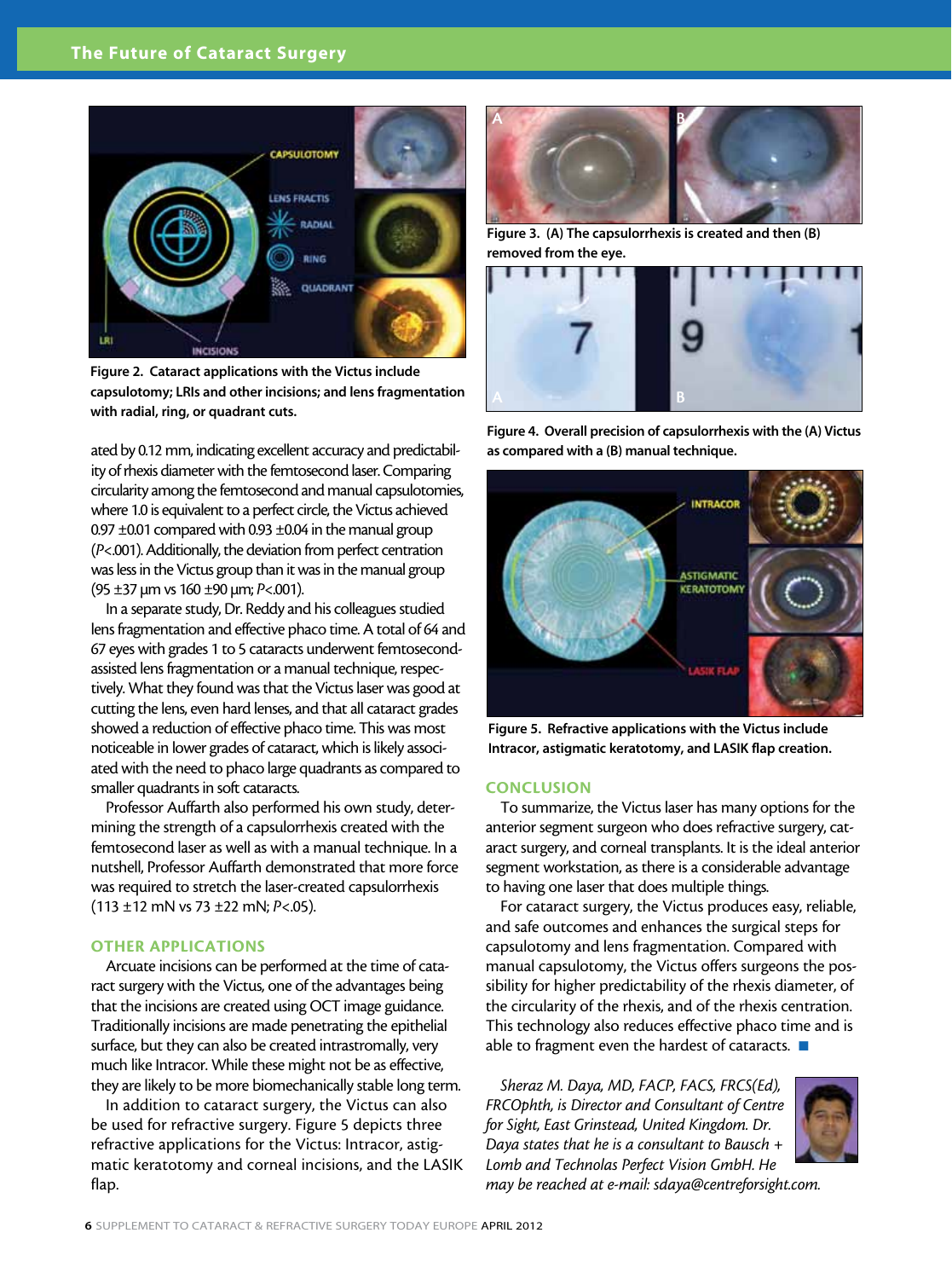

Figure 2. Cataract applications with the Victus include capsulotomy; LRIs and other incisions; and lens fragmentation with radial, ring, or quadrant cuts.

ated by 0.12 mm, indicating excellent accuracy and predictability of rhexis diameter with the femtosecond laser. Comparing circularity among the femtosecond and manual capsulotomies, where 1.0 is equivalent to a perfect circle, the Victus achieved 0.97  $\pm$ 0.01 compared with 0.93  $\pm$ 0.04 in the manual group (*P*<.001). Additionally, the deviation from perfect centration was less in the Victus group than it was in the manual group (95 ±37 µm vs 160 ±90 µm; *P*<.001).

In a separate study, Dr. Reddy and his colleagues studied lens fragmentation and effective phaco time. A total of 64 and 67 eyes with grades 1 to 5 cataracts underwent femtosecondassisted lens fragmentation or a manual technique, respectively. What they found was that the Victus laser was good at cutting the lens, even hard lenses, and that all cataract grades showed a reduction of effective phaco time. This was most noticeable in lower grades of cataract, which is likely associated with the need to phaco large quadrants as compared to smaller quadrants in soft cataracts.

Professor Auffarth also performed his own study, determining the strength of a capsulorrhexis created with the femtosecond laser as well as with a manual technique. In a nutshell, Professor Auffarth demonstrated that more force was required to stretch the laser-created capsulorrhexis (113 ±12 mN vs 73 ±22 mN; *P*<.05).

#### OTHER APPLICATIONS

Arcuate incisions can be performed at the time of cataract surgery with the Victus, one of the advantages being that the incisions are created using OCT image guidance. Traditionally incisions are made penetrating the epithelial surface, but they can also be created intrastromally, very much like Intracor. While these might not be as effective, they are likely to be more biomechanically stable long term.

In addition to cataract surgery, the Victus can also be used for refractive surgery. Figure 5 depicts three refractive applications for the Victus: Intracor, astigmatic keratotomy and corneal incisions, and the LASIK flap.



Figure 3. (A) The capsulorrhexis is created and then (B) removed from the eye.



Figure 4. Overall precision of capsulorrhexis with the (A) Victus as compared with a (B) manual technique.



Figure 5. Refractive applications with the Victus include Intracor, astigmatic keratotomy, and LASIK flap creation.

#### **CONCLUSION**

To summarize, the Victus laser has many options for the anterior segment surgeon who does refractive surgery, cataract surgery, and corneal transplants. It is the ideal anterior segment workstation, as there is a considerable advantage to having one laser that does multiple things.

For cataract surgery, the Victus produces easy, reliable, and safe outcomes and enhances the surgical steps for capsulotomy and lens fragmentation. Compared with manual capsulotomy, the Victus offers surgeons the possibility for higher predictability of the rhexis diameter, of the circularity of the rhexis, and of the rhexis centration. This technology also reduces effective phaco time and is able to fragment even the hardest of cataracts.  $\blacksquare$ 

*Sheraz M. Daya, MD, FACP, FACS, FRCS(Ed), FRCOphth, is Director and Consultant of Centre for Sight, East Grinstead, United Kingdom. Dr. Daya states that he is a consultant to Bausch + Lomb and Technolas Perfect Vision GmbH. He* 



*may be reached at e-mail: sdaya@centreforsight.com.*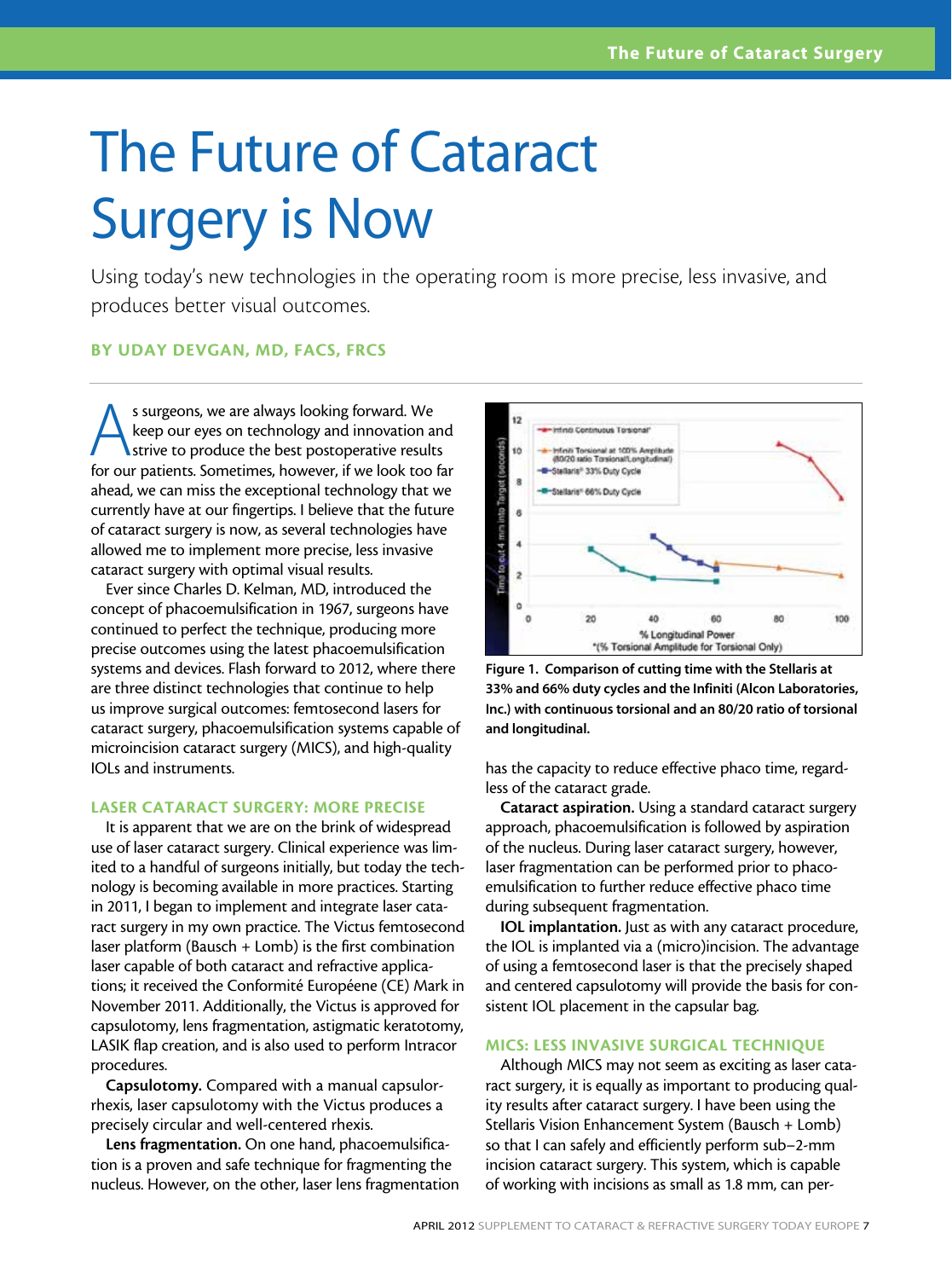### The Future of Cataract Surgery is Now

Using today's new technologies in the operating room is more precise, less invasive, and produces better visual outcomes.

#### By Uday Devgan, MD, FACS, FRCS

s surgeons, we are always looking forward. We keep our eyes on technology and innovation and **I** strive to produce the best postoperative results for our patients. Sometimes, however, if we look too far ahead, we can miss the exceptional technology that we currently have at our fingertips. I believe that the future of cataract surgery is now, as several technologies have allowed me to implement more precise, less invasive cataract surgery with optimal visual results.

Ever since Charles D. Kelman, MD, introduced the concept of phacoemulsification in 1967, surgeons have continued to perfect the technique, producing more precise outcomes using the latest phacoemulsification systems and devices. Flash forward to 2012, where there are three distinct technologies that continue to help us improve surgical outcomes: femtosecond lasers for cataract surgery, phacoemulsification systems capable of microincision cataract surgery (MICS), and high-quality IOLs and instruments.

#### LASER CATARACT SURGERY: MORE PRECISE

It is apparent that we are on the brink of widespread use of laser cataract surgery. Clinical experience was limited to a handful of surgeons initially, but today the technology is becoming available in more practices. Starting in 2011, I began to implement and integrate laser cataract surgery in my own practice. The Victus femtosecond laser platform (Bausch + Lomb) is the first combination laser capable of both cataract and refractive applications; it received the Conformité Européene (CE) Mark in November 2011. Additionally, the Victus is approved for capsulotomy, lens fragmentation, astigmatic keratotomy, LASIK flap creation, and is also used to perform Intracor procedures.

Capsulotomy. Compared with a manual capsulorrhexis, laser capsulotomy with the Victus produces a precisely circular and well-centered rhexis.

Lens fragmentation. On one hand, phacoemulsification is a proven and safe technique for fragmenting the nucleus. However, on the other, laser lens fragmentation



Figure 1. Comparison of cutting time with the Stellaris at 33% and 66% duty cycles and the Infiniti (Alcon Laboratories, Inc.) with continuous torsional and an 80/20 ratio of torsional and longitudinal.

has the capacity to reduce effective phaco time, regardless of the cataract grade.

Cataract aspiration. Using a standard cataract surgery approach, phacoemulsification is followed by aspiration of the nucleus. During laser cataract surgery, however, laser fragmentation can be performed prior to phacoemulsification to further reduce effective phaco time during subsequent fragmentation.

IOL implantation. Just as with any cataract procedure, the IOL is implanted via a (micro)incision. The advantage of using a femtosecond laser is that the precisely shaped and centered capsulotomy will provide the basis for consistent IOL placement in the capsular bag.

#### MICS: LESS INVASIVE SURGICAL TECHNIQUE

Although MICS may not seem as exciting as laser cataract surgery, it is equally as important to producing quality results after cataract surgery. I have been using the Stellaris Vision Enhancement System (Bausch + Lomb) so that I can safely and efficiently perform sub–2-mm incision cataract surgery. This system, which is capable of working with incisions as small as 1.8 mm, can per-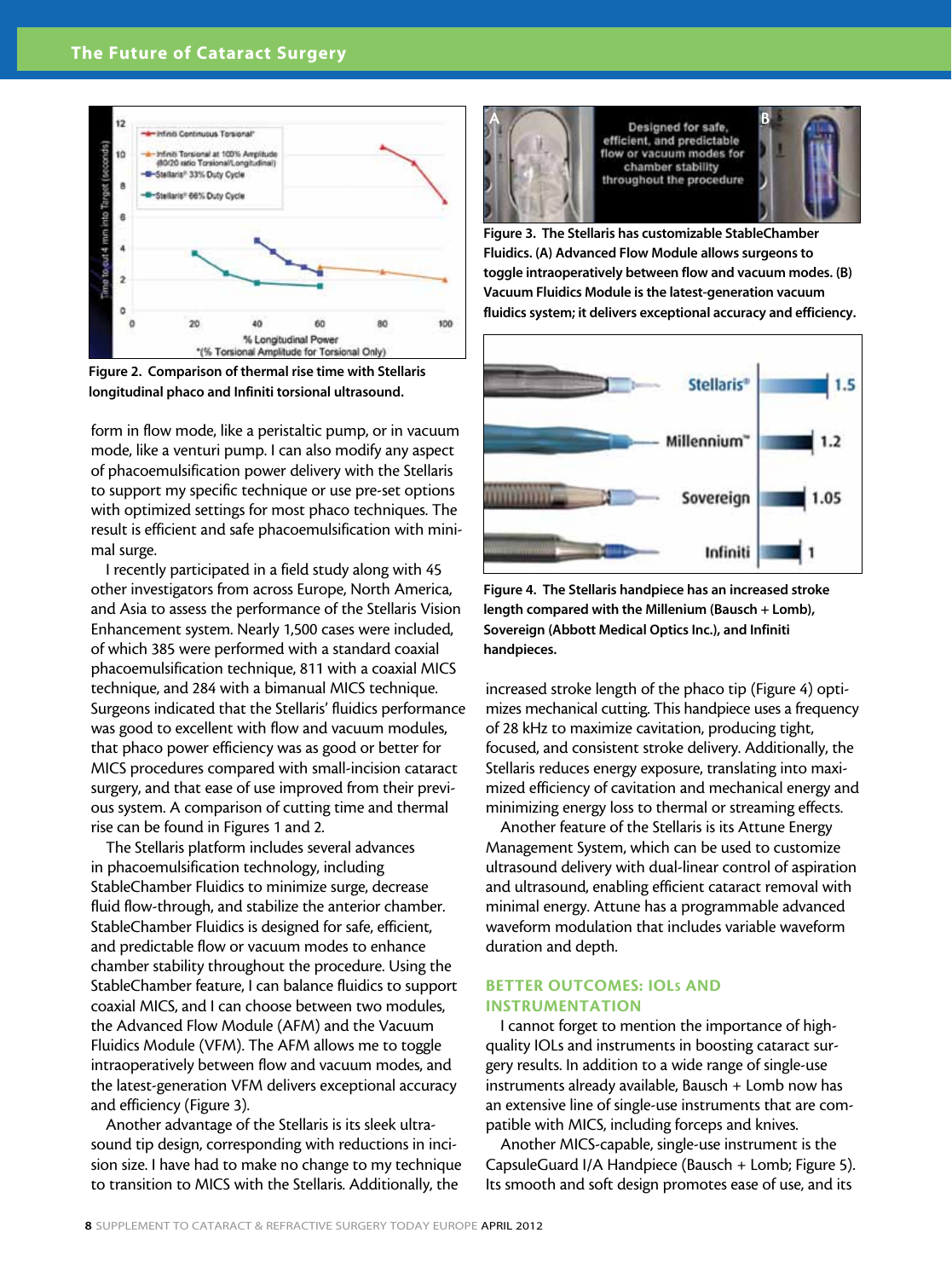

Figure 2. Comparison of thermal rise time with Stellaris longitudinal phaco and Infiniti torsional ultrasound.

form in flow mode, like a peristaltic pump, or in vacuum mode, like a venturi pump. I can also modify any aspect of phacoemulsification power delivery with the Stellaris to support my specific technique or use pre-set options with optimized settings for most phaco techniques. The result is efficient and safe phacoemulsification with minimal surge.

I recently participated in a field study along with 45 other investigators from across Europe, North America, and Asia to assess the performance of the Stellaris Vision Enhancement system. Nearly 1,500 cases were included, of which 385 were performed with a standard coaxial phacoemulsification technique, 811 with a coaxial MICS technique, and 284 with a bimanual MICS technique. Surgeons indicated that the Stellaris' fluidics performance was good to excellent with flow and vacuum modules, that phaco power efficiency was as good or better for MICS procedures compared with small-incision cataract surgery, and that ease of use improved from their previous system. A comparison of cutting time and thermal rise can be found in Figures 1 and 2.

The Stellaris platform includes several advances in phacoemulsification technology, including StableChamber Fluidics to minimize surge, decrease fluid flow-through, and stabilize the anterior chamber. StableChamber Fluidics is designed for safe, efficient, and predictable flow or vacuum modes to enhance chamber stability throughout the procedure. Using the StableChamber feature, I can balance fluidics to support coaxial MICS, and I can choose between two modules, the Advanced Flow Module (AFM) and the Vacuum Fluidics Module (VFM). The AFM allows me to toggle intraoperatively between flow and vacuum modes, and the latest-generation VFM delivers exceptional accuracy and efficiency (Figure 3).

Another advantage of the Stellaris is its sleek ultrasound tip design, corresponding with reductions in incision size. I have had to make no change to my technique to transition to MICS with the Stellaris. Additionally, the



Designed for safe, efficient, and predictable flow or vacuum modes for chamber stability throughout the procedure



Figure 3. The Stellaris has customizable StableChamber Fluidics. (A) Advanced Flow Module allows surgeons to toggle intraoperatively between flow and vacuum modes. (B) Vacuum Fluidics Module is the latest-generation vacuum fluidics system; it delivers exceptional accuracy and efficiency.



Figure 4. The Stellaris handpiece has an increased stroke length compared with the Millenium (Bausch + Lomb), Sovereign (Abbott Medical Optics Inc.), and Infiniti handpieces.

increased stroke length of the phaco tip (Figure 4) optimizes mechanical cutting. This handpiece uses a frequency of 28 kHz to maximize cavitation, producing tight, focused, and consistent stroke delivery. Additionally, the Stellaris reduces energy exposure, translating into maximized efficiency of cavitation and mechanical energy and minimizing energy loss to thermal or streaming effects.

Another feature of the Stellaris is its Attune Energy Management System, which can be used to customize ultrasound delivery with dual-linear control of aspiration and ultrasound, enabling efficient cataract removal with minimal energy. Attune has a programmable advanced waveform modulation that includes variable waveform duration and depth.

#### BETTER OUTCOMES: IOLs AND INSTRUMENTATION

I cannot forget to mention the importance of highquality IOLs and instruments in boosting cataract surgery results. In addition to a wide range of single-use instruments already available, Bausch + Lomb now has an extensive line of single-use instruments that are compatible with MICS, including forceps and knives.

Another MICS-capable, single-use instrument is the CapsuleGuard I/A Handpiece (Bausch + Lomb; Figure 5). Its smooth and soft design promotes ease of use, and its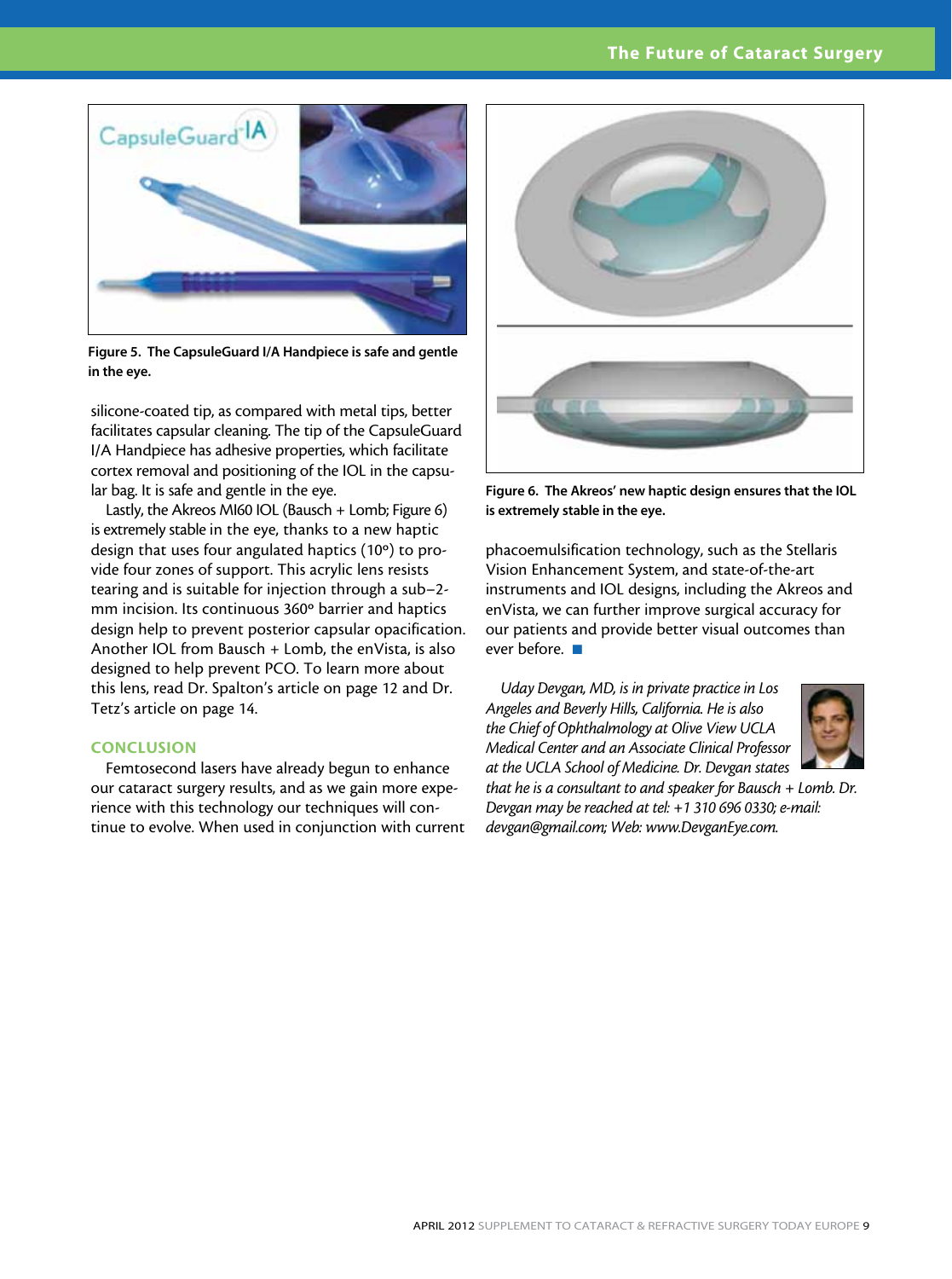#### The Future of Cataract Surgery



Figure 5. The CapsuleGuard I/A Handpiece is safe and gentle in the eye.

silicone-coated tip, as compared with metal tips, better facilitates capsular cleaning. The tip of the CapsuleGuard I/A Handpiece has adhesive properties, which facilitate cortex removal and positioning of the IOL in the capsular bag. It is safe and gentle in the eye.

Lastly, the Akreos MI60 IOL (Bausch + Lomb; Figure 6) is extremely stable in the eye, thanks to a new haptic design that uses four angulated haptics (10º) to provide four zones of support. This acrylic lens resists tearing and is suitable for injection through a sub–2 mm incision. Its continuous 360º barrier and haptics design help to prevent posterior capsular opacification. Another IOL from Bausch + Lomb, the enVista, is also designed to help prevent PCO. To learn more about this lens, read Dr. Spalton's article on page 12 and Dr. Tetz's article on page 14.

#### **CONCLUSION**

Femtosecond lasers have already begun to enhance our cataract surgery results, and as we gain more experience with this technology our techniques will continue to evolve. When used in conjunction with current



Figure 6. The Akreos' new haptic design ensures that the IOL is extremely stable in the eye.

phacoemulsification technology, such as the Stellaris Vision Enhancement System, and state-of-the-art instruments and IOL designs, including the Akreos and enVista, we can further improve surgical accuracy for our patients and provide better visual outcomes than ever before.  $\blacksquare$ 

*Uday Devgan, MD, is in private practice in Los Angeles and Beverly Hills, California. He is also the Chief of Ophthalmology at Olive View UCLA Medical Center and an Associate Clinical Professor at the UCLA School of Medicine. Dr. Devgan states* 

*that he is a consultant to and speaker for Bausch + Lomb. Dr. Devgan may be reached at tel: +1 310 696 0330; e-mail: devgan@gmail.com; Web: www.DevganEye.com.*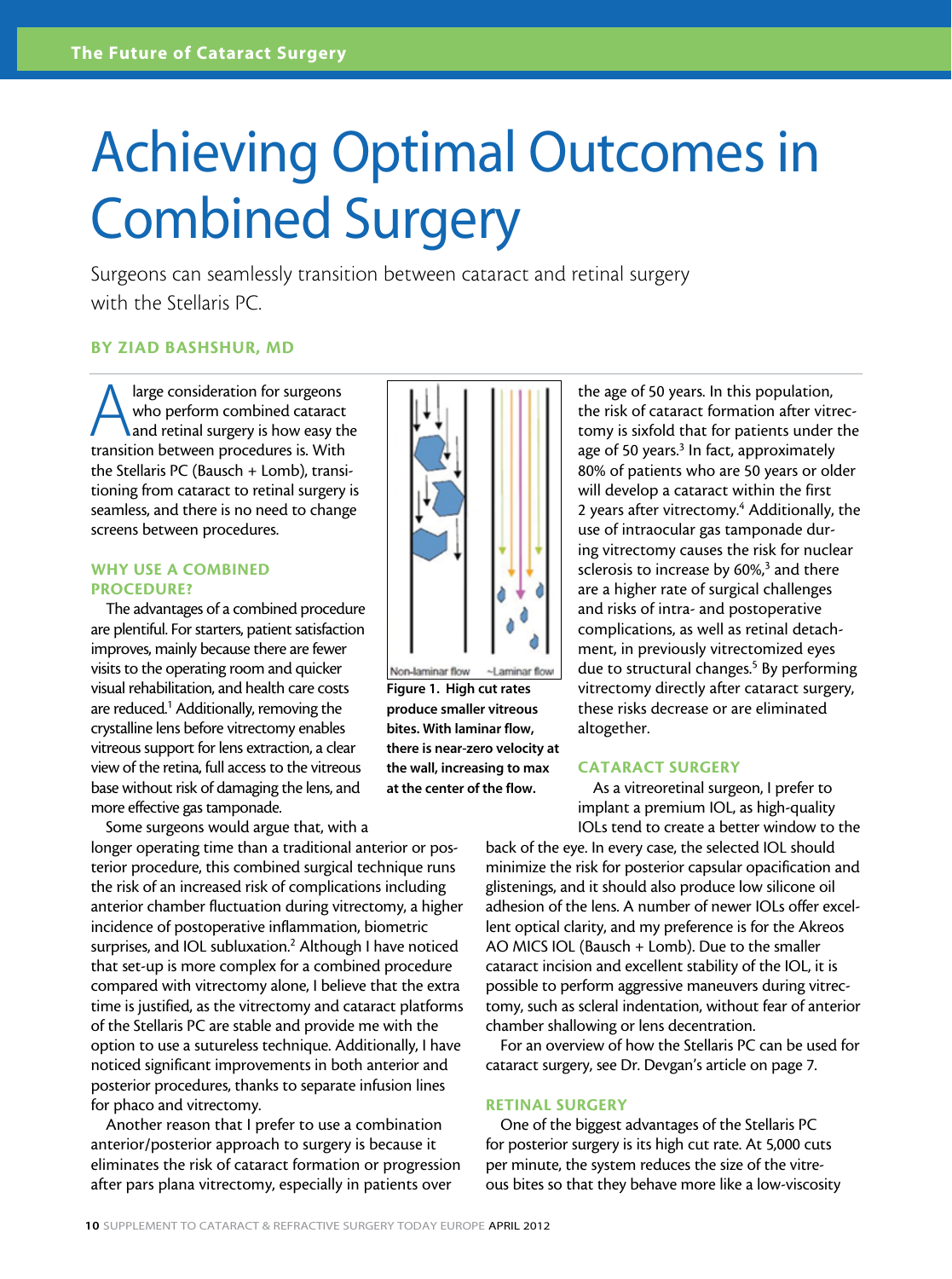### Achieving Optimal Outcomes in Combined Surgery

Surgeons can seamlessly transition between cataract and retinal surgery with the Stellaris PC.

#### By Ziad Bashshur, MD

A large consideration for surgeons<br>who perform combined cataract<br>and retinal surgery is how easy the<br>transition between procedures is With who perform combined cataract and retinal surgery is how easy the transition between procedures is. With the Stellaris PC (Bausch + Lomb), transitioning from cataract to retinal surgery is seamless, and there is no need to change screens between procedures.

#### WHY USE A COMBINED PROCEDURE?

The advantages of a combined procedure are plentiful. For starters, patient satisfaction improves, mainly because there are fewer visits to the operating room and quicker visual rehabilitation, and health care costs are reduced.<sup>1</sup> Additionally, removing the crystalline lens before vitrectomy enables vitreous support for lens extraction, a clear view of the retina, full access to the vitreous base without risk of damaging the lens, and more effective gas tamponade.

Some surgeons would argue that, with a longer operating time than a traditional anterior or posterior procedure, this combined surgical technique runs the risk of an increased risk of complications including anterior chamber fluctuation during vitrectomy, a higher incidence of postoperative inflammation, biometric surprises, and IOL subluxation.<sup>2</sup> Although I have noticed that set-up is more complex for a combined procedure compared with vitrectomy alone, I believe that the extra time is justified, as the vitrectomy and cataract platforms of the Stellaris PC are stable and provide me with the option to use a sutureless technique. Additionally, I have noticed significant improvements in both anterior and posterior procedures, thanks to separate infusion lines for phaco and vitrectomy.

Another reason that I prefer to use a combination anterior/posterior approach to surgery is because it eliminates the risk of cataract formation or progression after pars plana vitrectomy, especially in patients over



Figure 1. High cut rates produce smaller vitreous bites. With laminar flow, there is near-zero velocity at the wall, increasing to max at the center of the flow.

the age of 50 years. In this population, the risk of cataract formation after vitrectomy is sixfold that for patients under the age of 50 years.<sup>3</sup> In fact, approximately 80% of patients who are 50 years or older will develop a cataract within the first 2 years after vitrectomy.<sup>4</sup> Additionally, the use of intraocular gas tamponade during vitrectomy causes the risk for nuclear sclerosis to increase by 60%,<sup>3</sup> and there are a higher rate of surgical challenges and risks of intra- and postoperative complications, as well as retinal detachment, in previously vitrectomized eyes due to structural changes.<sup>5</sup> By performing vitrectomy directly after cataract surgery, these risks decrease or are eliminated altogether.

#### CATARACT SURGERY

As a vitreoretinal surgeon, I prefer to implant a premium IOL, as high-quality IOLs tend to create a better window to the

back of the eye. In every case, the selected IOL should minimize the risk for posterior capsular opacification and glistenings, and it should also produce low silicone oil adhesion of the lens. A number of newer IOLs offer excellent optical clarity, and my preference is for the Akreos AO MICS IOL (Bausch + Lomb). Due to the smaller cataract incision and excellent stability of the IOL, it is possible to perform aggressive maneuvers during vitrectomy, such as scleral indentation, without fear of anterior chamber shallowing or lens decentration.

For an overview of how the Stellaris PC can be used for cataract surgery, see Dr. Devgan's article on page 7.

#### RETINAL SURGERY

One of the biggest advantages of the Stellaris PC for posterior surgery is its high cut rate. At 5,000 cuts per minute, the system reduces the size of the vitreous bites so that they behave more like a low-viscosity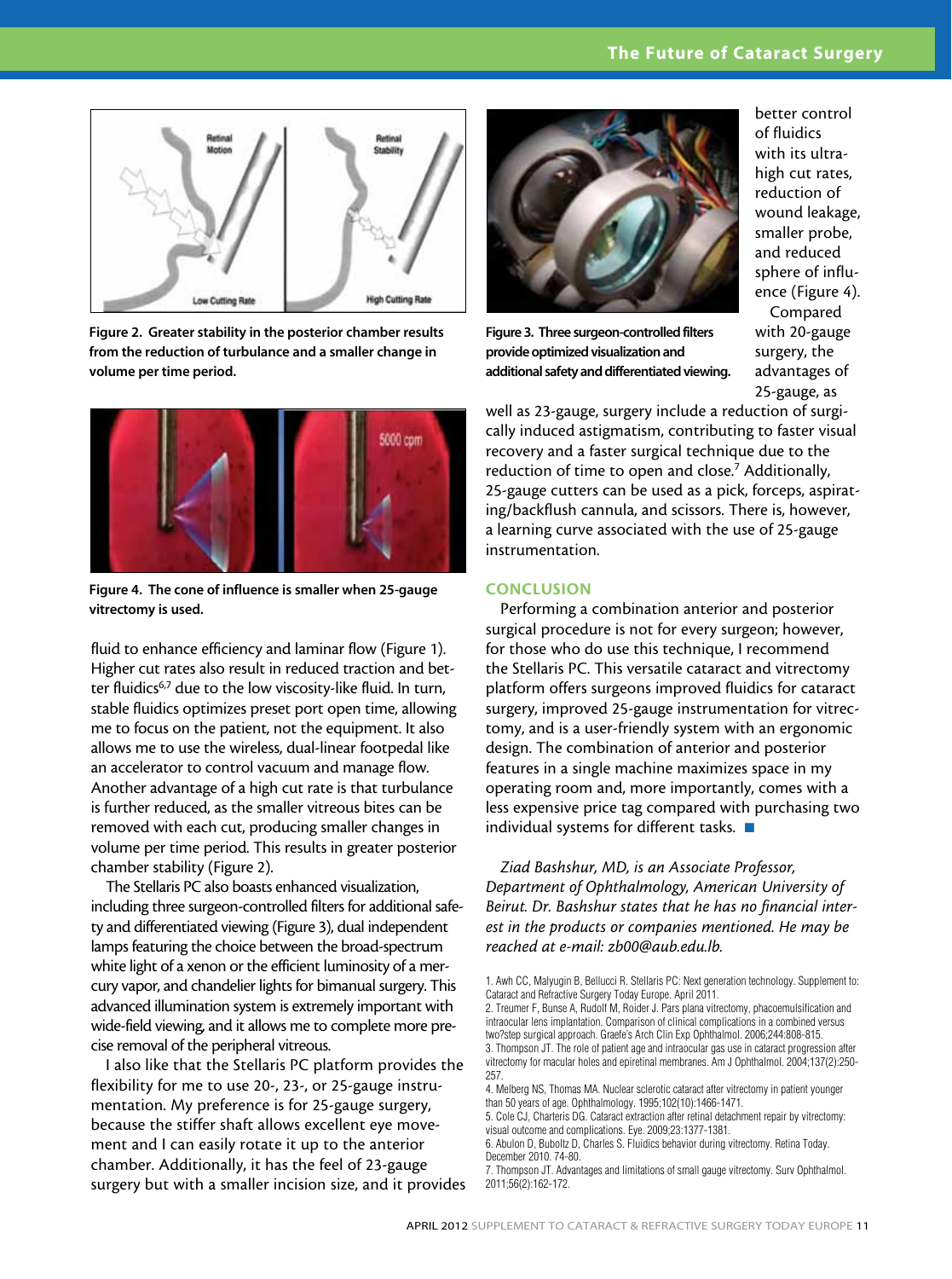#### The Future of Cataract Surgery



Figure 2. Greater stability in the posterior chamber results from the reduction of turbulance and a smaller change in volume per time period.



Figure 4. The cone of influence is smaller when 25-gauge vitrectomy is used.

fluid to enhance efficiency and laminar flow (Figure 1). Higher cut rates also result in reduced traction and better fluidics<sup>6,7</sup> due to the low viscosity-like fluid. In turn, stable fluidics optimizes preset port open time, allowing me to focus on the patient, not the equipment. It also allows me to use the wireless, dual-linear footpedal like an accelerator to control vacuum and manage flow. Another advantage of a high cut rate is that turbulance is further reduced, as the smaller vitreous bites can be removed with each cut, producing smaller changes in volume per time period. This results in greater posterior chamber stability (Figure 2).

The Stellaris PC also boasts enhanced visualization, including three surgeon-controlled filters for additional safety and differentiated viewing (Figure 3), dual independent lamps featuring the choice between the broad-spectrum white light of a xenon or the efficient luminosity of a mercury vapor, and chandelier lights for bimanual surgery. This advanced illumination system is extremely important with wide-field viewing, and it allows me to complete more precise removal of the peripheral vitreous.

I also like that the Stellaris PC platform provides the flexibility for me to use 20-, 23-, or 25-gauge instrumentation. My preference is for 25-gauge surgery, because the stiffer shaft allows excellent eye movement and I can easily rotate it up to the anterior chamber. Additionally, it has the feel of 23-gauge surgery but with a smaller incision size, and it provides



Figure 3. Three surgeon-controlled filters provide optimized visualization and additional safety and differentiated viewing.

better control of fluidics with its ultrahigh cut rates, reduction of wound leakage, smaller probe, and reduced sphere of influence (Figure 4).

Compared with 20-gauge surgery, the advantages of 25-gauge, as

well as 23-gauge, surgery include a reduction of surgically induced astigmatism, contributing to faster visual recovery and a faster surgical technique due to the reduction of time to open and close.<sup>7</sup> Additionally, 25-gauge cutters can be used as a pick, forceps, aspirating/backflush cannula, and scissors. There is, however, a learning curve associated with the use of 25-gauge instrumentation.

#### **CONCLUSION**

Performing a combination anterior and posterior surgical procedure is not for every surgeon; however, for those who do use this technique, I recommend the Stellaris PC. This versatile cataract and vitrectomy platform offers surgeons improved fluidics for cataract surgery, improved 25-gauge instrumentation for vitrectomy, and is a user-friendly system with an ergonomic design. The combination of anterior and posterior features in a single machine maximizes space in my operating room and, more importantly, comes with a less expensive price tag compared with purchasing two individual systems for different tasks.  $\blacksquare$ 

*Ziad Bashshur, MD, is an Associate Professor, Department of Ophthalmology, American University of Beirut. Dr. Bashshur states that he has no financial interest in the products or companies mentioned. He may be reached at e-mail: zb00@aub.edu.lb.*

2. Treumer F, Bunse A, Rudolf M, Roider J. Pars plana vitrectomy, phacoemulsification and intraocular lens implantation. Comparison of clinical complications in a combined versus two?step surgical approach. Graefe's Arch Clin Exp Ophthalmol. 2006;244:808-815.

3. Thompson JT. The role of patient age and intraocular gas use in cataract progression after vitrectomy for macular holes and epiretinal membranes. Am J Ophthalmol. 2004;137(2):250- 257.

4. Melberg NS, Thomas MA. Nuclear sclerotic cataract after vitrectomy in patient younger than 50 years of age. Ophthalmology. 1995;102(10):1466-1471.

5. Cole CJ, Charteris DG. Cataract extraction after retinal detachment repair by vitrectomy: visual outcome and complications. Eye. 2009;23:1377-1381.

6. Abulon D, Buboltz D, Charles S. Fluidics behavior during vitrectomy. Retina Today. December 2010. 74-80.

7. Thompson JT. Advantages and limitations of small gauge vitrectomy. Surv Ophthalmol. 2011;56(2):162-172.

<sup>1.</sup> Awh CC, Malyugin B, Bellucci R. Stellaris PC: Next generation technology. Supplement to: Cataract and Refractive Surgery Today Europe. April 2011.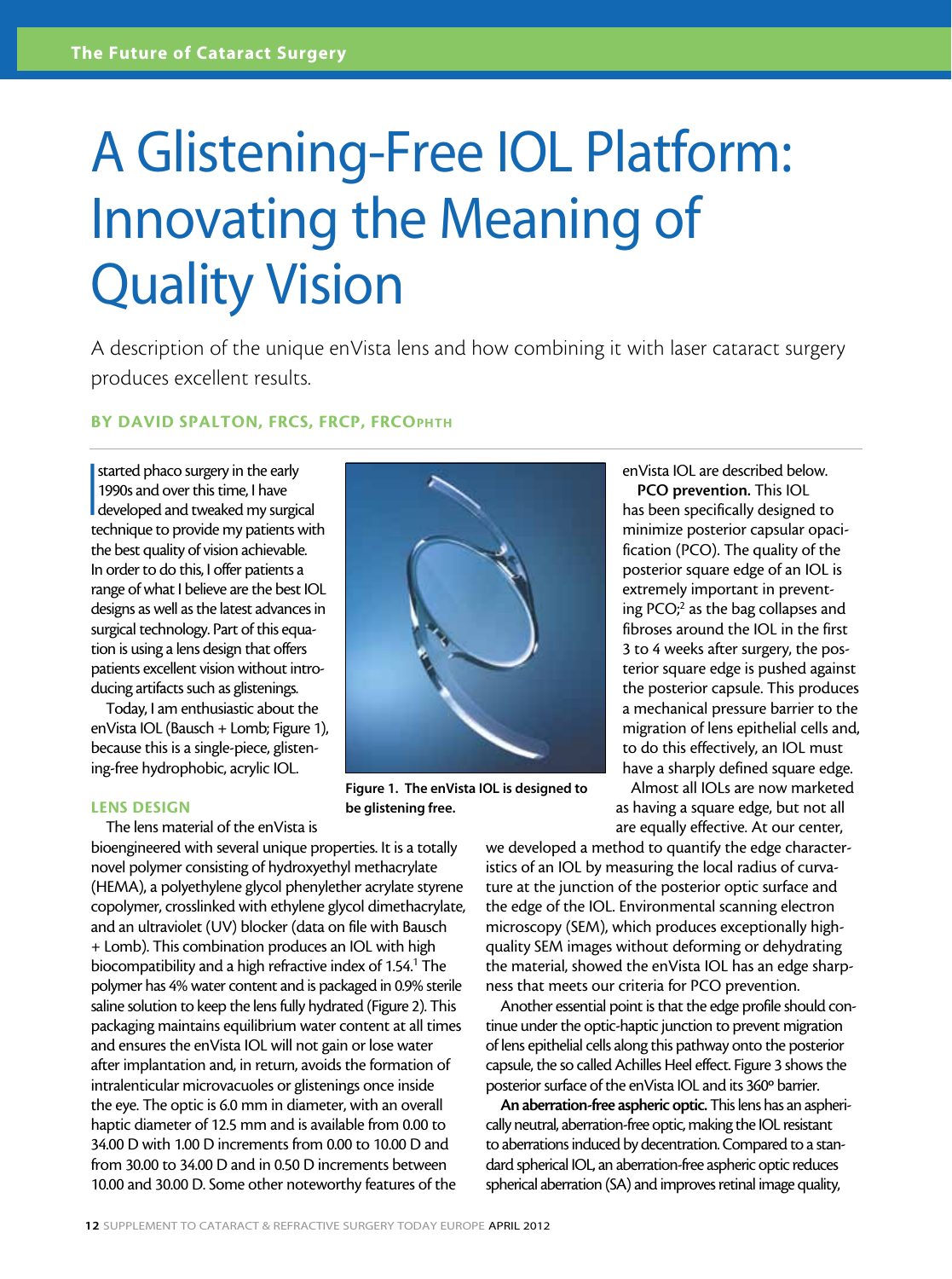### A Glistening-Free IOL Platform: Innovating the Meaning of Quality Vision

A description of the unique enVista lens and how combining it with laser cataract surgery produces excellent results.

#### BY DAVID SPALTON, FRCS, FRCP, FRCOPHTH

 $\frac{1}{2}$ started phaco surgery in the early 1990s and over this time, I have developed and tweaked my surgical technique to provide my patients with the best quality of vision achievable. In order to do this, I offer patients a range of what I believe are the best IOL designs as well as the latest advances in surgical technology. Part of this equation is using a lens design that offers patients excellent vision without introducing artifacts such as glistenings.

Today, I am enthusiastic about the enVista IOL (Bausch + Lomb; Figure 1), because this is a single-piece, glistening-free hydrophobic, acrylic IOL.

#### LENS DESIGN

The lens material of the enVista is

bioengineered with several unique properties. It is a totally novel polymer consisting of hydroxyethyl methacrylate (HEMA), a polyethylene glycol phenylether acrylate styrene copolymer, crosslinked with ethylene glycol dimethacrylate, and an ultraviolet (UV) blocker (data on file with Bausch + Lomb). This combination produces an IOL with high biocompatibility and a high refractive index of 1.54.<sup>1</sup> The polymer has 4% water content and is packaged in 0.9% sterile saline solution to keep the lens fully hydrated (Figure 2). This packaging maintains equilibrium water content at all times and ensures the enVista IOL will not gain or lose water after implantation and, in return, avoids the formation of intralenticular microvacuoles or glistenings once inside the eye. The optic is 6.0 mm in diameter, with an overall haptic diameter of 12.5 mm and is available from 0.00 to 34.00 D with 1.00 D increments from 0.00 to 10.00 D and from 30.00 to 34.00 D and in 0.50 D increments between 10.00 and 30.00 D. Some other noteworthy features of the

Figure 1. The enVista IOL is designed to be glistening free.

enVista IOL are described below. PCO prevention. This IOL

has been specifically designed to minimize posterior capsular opacification (PCO). The quality of the posterior square edge of an IOL is extremely important in preventing PCO;<sup>2</sup> as the bag collapses and fibroses around the IOL in the first 3 to 4 weeks after surgery, the posterior square edge is pushed against the posterior capsule. This produces a mechanical pressure barrier to the migration of lens epithelial cells and, to do this effectively, an IOL must have a sharply defined square edge.

Almost all IOLs are now marketed as having a square edge, but not all are equally effective. At our center,

we developed a method to quantify the edge characteristics of an IOL by measuring the local radius of curvature at the junction of the posterior optic surface and the edge of the IOL. Environmental scanning electron microscopy (SEM), which produces exceptionally highquality SEM images without deforming or dehydrating the material, showed the enVista IOL has an edge sharpness that meets our criteria for PCO prevention.

Another essential point is that the edge profile should continue under the optic-haptic junction to prevent migration of lens epithelial cells along this pathway onto the posterior capsule, the so called Achilles Heel effect. Figure 3 shows the posterior surface of the enVista IOL and its 360º barrier.

An aberration-free aspheric optic. This lens has an aspherically neutral, aberration-free optic, making the IOL resistant to aberrations induced by decentration. Compared to a standard spherical IOL, an aberration-free aspheric optic reduces spherical aberration (SA) and improves retinal image quality,

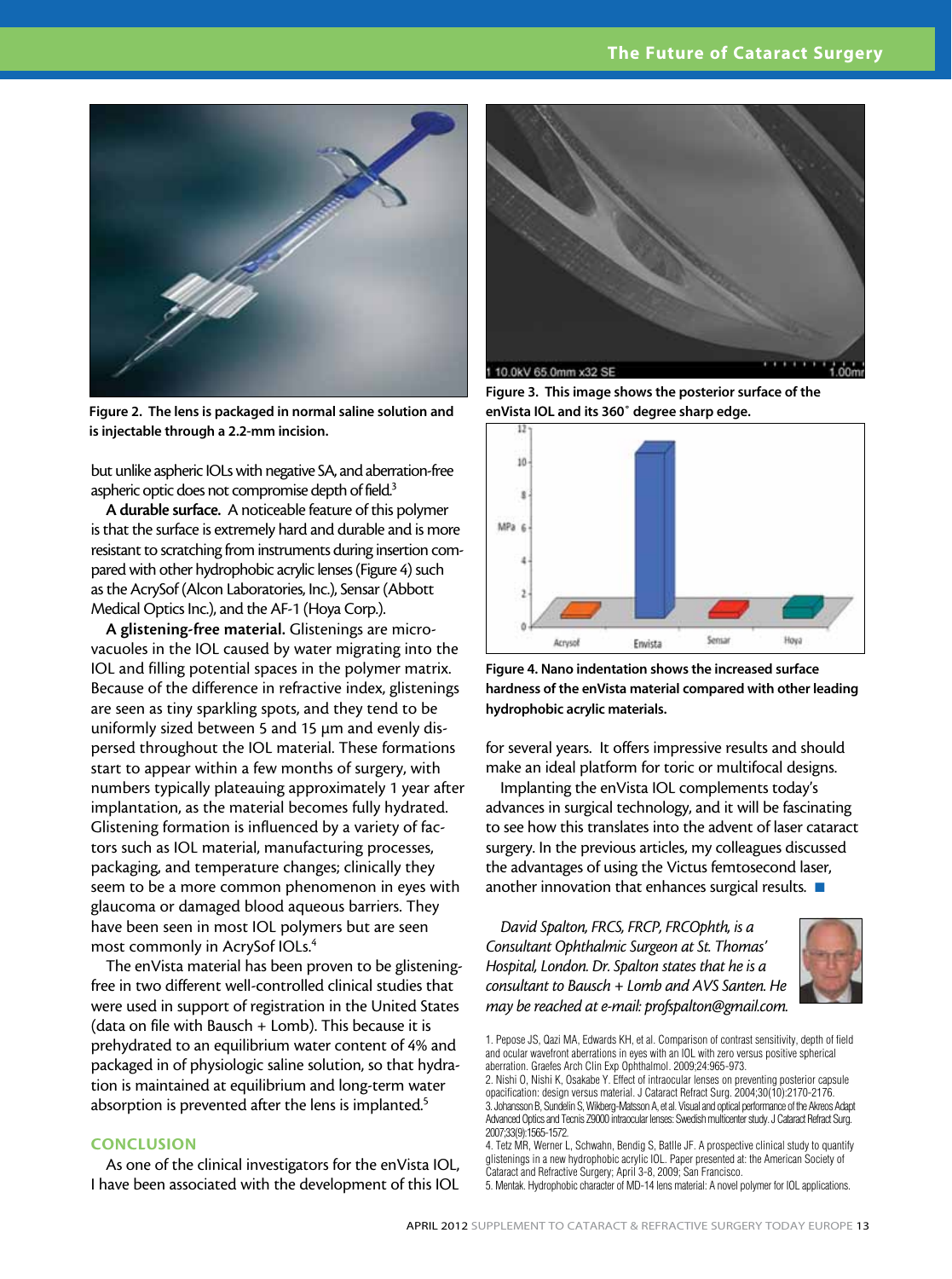

Figure 2. The lens is packaged in normal saline solution and is injectable through a 2.2-mm incision.

but unlike aspheric IOLs with negative SA, and aberration-free aspheric optic does not compromise depth of field.<sup>3</sup>

A durable surface. A noticeable feature of this polymer is that the surface is extremely hard and durable and is more resistant to scratching from instruments during insertion compared with other hydrophobic acrylic lenses (Figure 4) such as the AcrySof (Alcon Laboratories, Inc.), Sensar (Abbott Medical Optics Inc.), and the AF-1 (Hoya Corp.).

A glistening-free material. Glistenings are microvacuoles in the IOL caused by water migrating into the IOL and filling potential spaces in the polymer matrix. Because of the difference in refractive index, glistenings are seen as tiny sparkling spots, and they tend to be uniformly sized between 5 and 15 µm and evenly dispersed throughout the IOL material. These formations start to appear within a few months of surgery, with numbers typically plateauing approximately 1 year after implantation, as the material becomes fully hydrated. Glistening formation is influenced by a variety of factors such as IOL material, manufacturing processes, packaging, and temperature changes; clinically they seem to be a more common phenomenon in eyes with glaucoma or damaged blood aqueous barriers. They have been seen in most IOL polymers but are seen most commonly in AcrySof IOLs.4

The enVista material has been proven to be glisteningfree in two different well-controlled clinical studies that were used in support of registration in the United States (data on file with Bausch + Lomb). This because it is prehydrated to an equilibrium water content of 4% and packaged in of physiologic saline solution, so that hydration is maintained at equilibrium and long-term water absorption is prevented after the lens is implanted.<sup>5</sup>

#### **CONCLUSION**

As one of the clinical investigators for the enVista IOL, I have been associated with the development of this IOL



Figure 3. This image shows the posterior surface of the enVista IOL and its 360˚ degree sharp edge.



Figure 4. Nano indentation shows the increased surface hardness of the enVista material compared with other leading hydrophobic acrylic materials.

for several years. It offers impressive results and should make an ideal platform for toric or multifocal designs.

Implanting the enVista IOL complements today's advances in surgical technology, and it will be fascinating to see how this translates into the advent of laser cataract surgery. In the previous articles, my colleagues discussed the advantages of using the Victus femtosecond laser, another innovation that enhances surgical results.  $\blacksquare$ 

*David Spalton, FRCS, FRCP, FRCOphth, is a Consultant Ophthalmic Surgeon at St. Thomas' Hospital, London. Dr. Spalton states that he is a consultant to Bausch + Lomb and AVS Santen. He may be reached at e-mail: profspalton@gmail.com.*



<sup>1.</sup> Pepose JS, Qazi MA, Edwards KH, et al. Comparison of contrast sensitivity, depth of field and ocular wavefront aberrations in eyes with an IOL with zero versus positive spherical aberration. Graefes Arch Clin Exp Ophthalmol. 2009;24:965-973.

5. Mentak. Hydrophobic character of MD-14 lens material: A novel polymer for IOL applications.

<sup>2.</sup> Nishi O, Nishi K, Osakabe Y. Effect of intraocular lenses on preventing posterior capsule opacification: design versus material. J Cataract Refract Surg. 2004;30(10):2170-2176. 3. Johansson B, Sundelin S, Wikberg-Matsson A, et al. Visual and optical performance of the Akreos Adapt Advanced Optics and Tecnis Z9000 intraocular lenses: Swedish multicenter study. J Cataract Refract Surg. 2007;33(9):1565-1572.

<sup>4.</sup> Tetz MR, Werner L, Schwahn, Bendig S, Batlle JF. A prospective clinical study to quantify glistenings in a new hydrophobic acrylic IOL. Paper presented at: the American Society of Cataract and Refractive Surgery; April 3-8, 2009; San Francisco.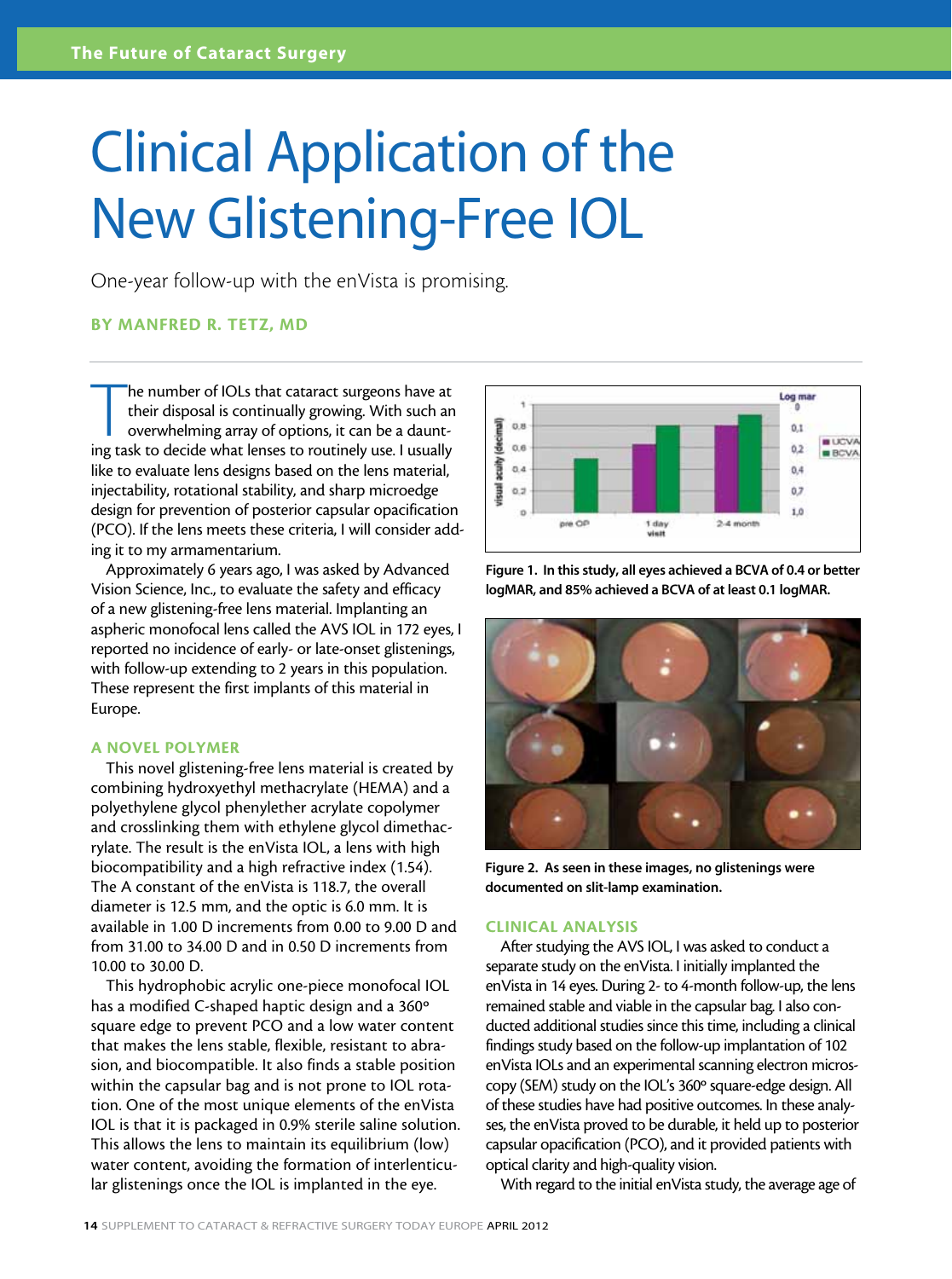### Clinical Application of the New Glistening-Free IOL

One-year follow-up with the enVista is promising.

#### By Manfred R. Tetz, MD

The number of IOLs that cataract surgeons have at their disposal is continually growing. With such an overwhelming array of options, it can be a daunting task to decide what lenses to routinely use. I usually he number of IOLs that cataract surgeons have at their disposal is continually growing. With such an overwhelming array of options, it can be a dauntlike to evaluate lens designs based on the lens material, injectability, rotational stability, and sharp microedge design for prevention of posterior capsular opacification (PCO). If the lens meets these criteria, I will consider adding it to my armamentarium.

Approximately 6 years ago, I was asked by Advanced Vision Science, Inc., to evaluate the safety and efficacy of a new glistening-free lens material. Implanting an aspheric monofocal lens called the AVS IOL in 172 eyes, I reported no incidence of early- or late-onset glistenings, with follow-up extending to 2 years in this population. These represent the first implants of this material in Europe.

#### A NOVEL POLYMER

This novel glistening-free lens material is created by combining hydroxyethyl methacrylate (HEMA) and a polyethylene glycol phenylether acrylate copolymer and crosslinking them with ethylene glycol dimethacrylate. The result is the enVista IOL, a lens with high biocompatibility and a high refractive index (1.54). The A constant of the enVista is 118.7, the overall diameter is 12.5 mm, and the optic is 6.0 mm. It is available in 1.00 D increments from 0.00 to 9.00 D and from 31.00 to 34.00 D and in 0.50 D increments from 10.00 to 30.00 D.

This hydrophobic acrylic one-piece monofocal IOL has a modified C-shaped haptic design and a 360º square edge to prevent PCO and a low water content that makes the lens stable, flexible, resistant to abrasion, and biocompatible. It also finds a stable position within the capsular bag and is not prone to IOL rotation. One of the most unique elements of the enVista IOL is that it is packaged in 0.9% sterile saline solution. This allows the lens to maintain its equilibrium (low) water content, avoiding the formation of interlenticular glistenings once the IOL is implanted in the eye.



Figure 1. In this study, all eyes achieved a BCVA of 0.4 or better logMAR, and 85% achieved a BCVA of at least 0.1 logMAR.



Figure 2. As seen in these images, no glistenings were documented on slit-lamp examination.

#### CLINICAL ANALYSIS

After studying the AVS IOL, I was asked to conduct a separate study on the enVista. I initially implanted the enVista in 14 eyes. During 2- to 4-month follow-up, the lens remained stable and viable in the capsular bag. I also conducted additional studies since this time, including a clinical findings study based on the follow-up implantation of 102 enVista IOLs and an experimental scanning electron microscopy (SEM) study on the IOL's 360º square-edge design. All of these studies have had positive outcomes. In these analyses, the enVista proved to be durable, it held up to posterior capsular opacification (PCO), and it provided patients with optical clarity and high-quality vision.

With regard to the initial enVista study, the average age of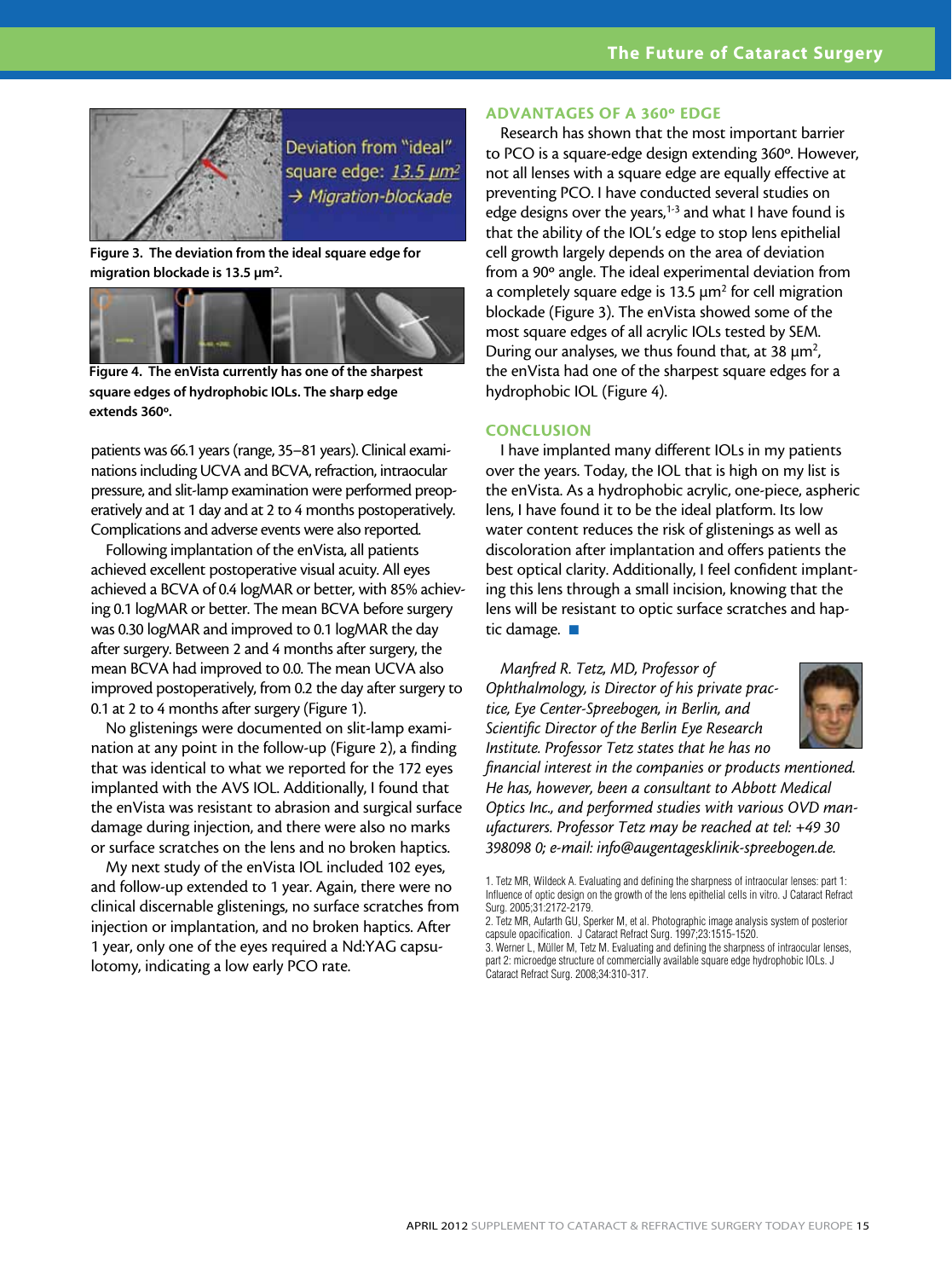

Deviation from "ideal" square edge: 13.5 um<sup>2</sup>  $\rightarrow$  Migration-blockade

Figure 3. The deviation from the ideal square edge for migration blockade is 13.5  $\mu$ m<sup>2</sup>.



Figure 4. The enVista currently has one of the sharpest square edges of hydrophobic IOLs. The sharp edge extends 360º.

patients was 66.1 years (range, 35–81 years). Clinical examinations including UCVA and BCVA, refraction, intraocular pressure, and slit-lamp examination were performed preoperatively and at 1 day and at 2 to 4 months postoperatively. Complications and adverse events were also reported.

Following implantation of the enVista, all patients achieved excellent postoperative visual acuity. All eyes achieved a BCVA of 0.4 logMAR or better, with 85% achieving 0.1 logMAR or better. The mean BCVA before surgery was 0.30 logMAR and improved to 0.1 logMAR the day after surgery. Between 2 and 4 months after surgery, the mean BCVA had improved to 0.0. The mean UCVA also improved postoperatively, from 0.2 the day after surgery to 0.1 at 2 to 4 months after surgery (Figure 1).

No glistenings were documented on slit-lamp examination at any point in the follow-up (Figure 2), a finding that was identical to what we reported for the 172 eyes implanted with the AVS IOL. Additionally, I found that the enVista was resistant to abrasion and surgical surface damage during injection, and there were also no marks or surface scratches on the lens and no broken haptics.

My next study of the enVista IOL included 102 eyes, and follow-up extended to 1 year. Again, there were no clinical discernable glistenings, no surface scratches from injection or implantation, and no broken haptics. After 1 year, only one of the eyes required a Nd:YAG capsulotomy, indicating a low early PCO rate.

#### ADVANTAGES OF A 360º EDGE

Research has shown that the most important barrier to PCO is a square-edge design extending 360º. However, not all lenses with a square edge are equally effective at preventing PCO. I have conducted several studies on edge designs over the years, $1-3$  and what I have found is that the ability of the IOL's edge to stop lens epithelial cell growth largely depends on the area of deviation from a 90º angle. The ideal experimental deviation from a completely square edge is 13.5  $\mu$ m<sup>2</sup> for cell migration blockade (Figure 3). The enVista showed some of the most square edges of all acrylic IOLs tested by SEM. During our analyses, we thus found that, at 38  $\mu$ m<sup>2</sup>, the enVista had one of the sharpest square edges for a hydrophobic IOL (Figure 4).

#### **CONCLUSION**

I have implanted many different IOLs in my patients over the years. Today, the IOL that is high on my list is the enVista. As a hydrophobic acrylic, one-piece, aspheric lens, I have found it to be the ideal platform. Its low water content reduces the risk of glistenings as well as discoloration after implantation and offers patients the best optical clarity. Additionally, I feel confident implanting this lens through a small incision, knowing that the lens will be resistant to optic surface scratches and haptic damage.  $\blacksquare$ 

*Manfred R. Tetz, MD, Professor of Ophthalmology, is Director of his private practice, Eye Center-Spreebogen, in Berlin, and Scientific Director of the Berlin Eye Research Institute. Professor Tetz states that he has no* 



*financial interest in the companies or products mentioned. He has, however, been a consultant to Abbott Medical Optics Inc., and performed studies with various OVD manufacturers. Professor Tetz may be reached at tel: +49 30 398098 0; e-mail: info@augentagesklinik-spreebogen.de.*

<sup>1.</sup> Tetz MR, Wildeck A. Evaluating and defining the sharpness of intraocular lenses: part 1: Influence of optic design on the growth of the lens epithelial cells in vitro. J Cataract Refract Surg. 2005;31:2172-2179.

<sup>2.</sup> Tetz MR, Aufarth GU, Sperker M, et al. Photographic image analysis system of posterior capsule opacification. J Cataract Refract Surg. 1997;23:1515-1520.

<sup>3.</sup> Werner L, Müller M, Tetz M. Evaluating and defining the sharpness of intraocular lenses, part 2: microedge structure of commercially available square edge hydrophobic IOLs. J Cataract Refract Surg. 2008;34:310-317.